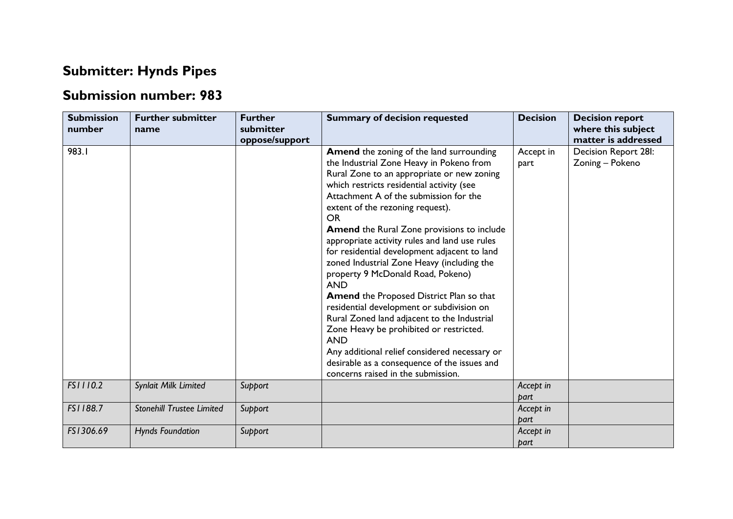## **Submitter: Hynds Pipes**

## **Submission number: 983**

| <b>Submission</b><br>number | <b>Further submitter</b><br>name | <b>Further</b><br>submitter<br>oppose/support | <b>Summary of decision requested</b>                                                                                                                                                                                                                                                                                                                                                                                                                                                                                                                                                                                                                                                                                                                                                                                                                                             | <b>Decision</b>   | <b>Decision report</b><br>where this subject<br>matter is addressed |
|-----------------------------|----------------------------------|-----------------------------------------------|----------------------------------------------------------------------------------------------------------------------------------------------------------------------------------------------------------------------------------------------------------------------------------------------------------------------------------------------------------------------------------------------------------------------------------------------------------------------------------------------------------------------------------------------------------------------------------------------------------------------------------------------------------------------------------------------------------------------------------------------------------------------------------------------------------------------------------------------------------------------------------|-------------------|---------------------------------------------------------------------|
| 983.1                       |                                  |                                               | Amend the zoning of the land surrounding<br>the Industrial Zone Heavy in Pokeno from<br>Rural Zone to an appropriate or new zoning<br>which restricts residential activity (see<br>Attachment A of the submission for the<br>extent of the rezoning request).<br><b>OR</b><br><b>Amend</b> the Rural Zone provisions to include<br>appropriate activity rules and land use rules<br>for residential development adjacent to land<br>zoned Industrial Zone Heavy (including the<br>property 9 McDonald Road, Pokeno)<br><b>AND</b><br><b>Amend the Proposed District Plan so that</b><br>residential development or subdivision on<br>Rural Zoned land adjacent to the Industrial<br>Zone Heavy be prohibited or restricted.<br><b>AND</b><br>Any additional relief considered necessary or<br>desirable as a consequence of the issues and<br>concerns raised in the submission. | Accept in<br>part | Decision Report 28I:<br>Zoning - Pokeno                             |
| FS1110.2                    | Synlait Milk Limited             | Support                                       |                                                                                                                                                                                                                                                                                                                                                                                                                                                                                                                                                                                                                                                                                                                                                                                                                                                                                  | Accept in<br>part |                                                                     |
| FS1188.7                    | <b>Stonehill Trustee Limited</b> | Support                                       |                                                                                                                                                                                                                                                                                                                                                                                                                                                                                                                                                                                                                                                                                                                                                                                                                                                                                  | Accept in<br>bart |                                                                     |
| FS1306.69                   | <b>Hynds Foundation</b>          | Support                                       |                                                                                                                                                                                                                                                                                                                                                                                                                                                                                                                                                                                                                                                                                                                                                                                                                                                                                  | Accept in<br>part |                                                                     |